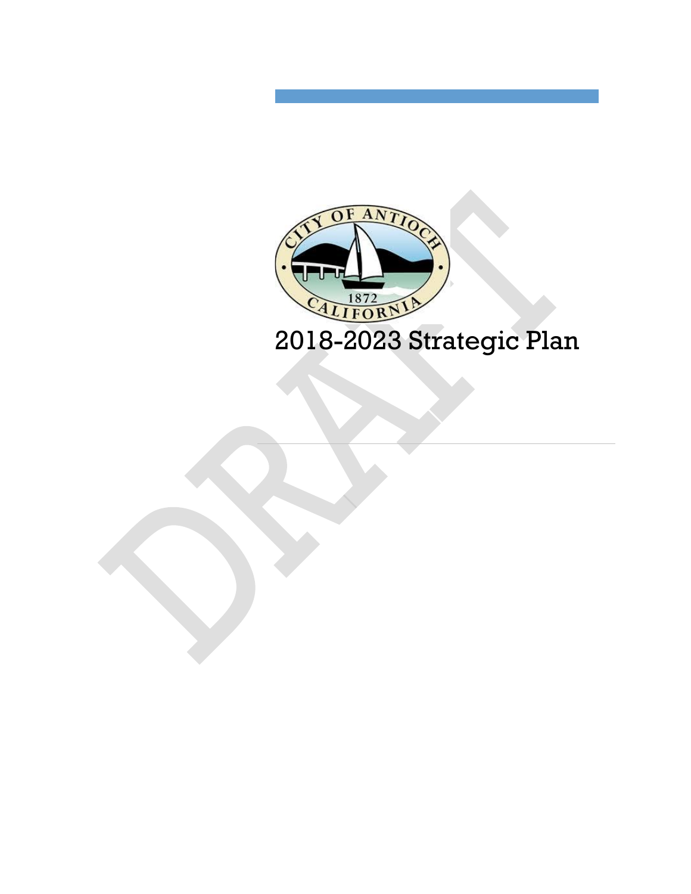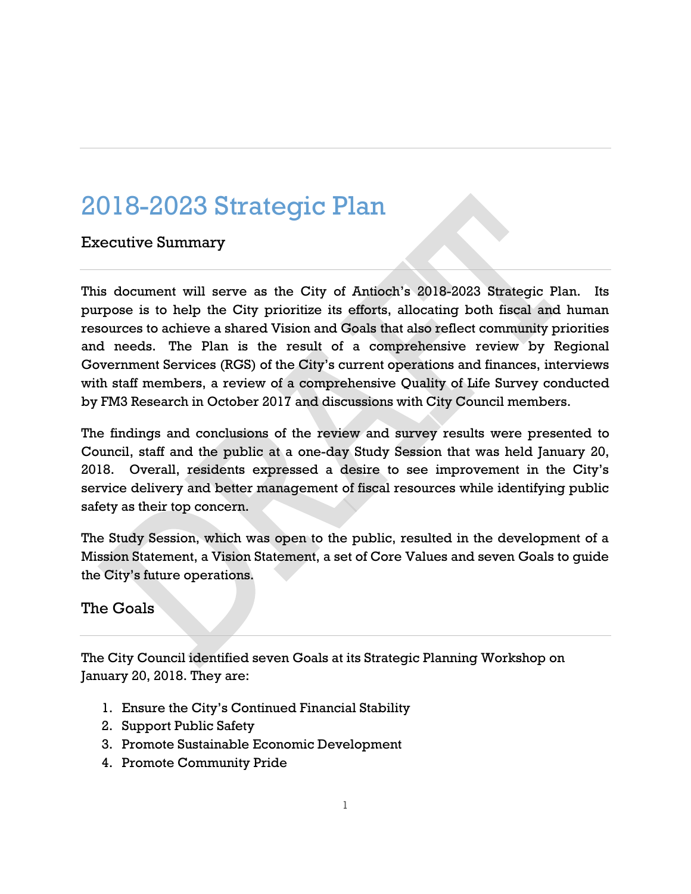# 2018-2023 Strategic Plan

Executive Summary

This document will serve as the City of Antioch's 2018-2023 Strategic Plan. Its purpose is to help the City prioritize its efforts, allocating both fiscal and human resources to achieve a shared Vision and Goals that also reflect community priorities and needs. The Plan is the result of a comprehensive review by Regional Government Services (RGS) of the City's current operations and finances, interviews with staff members, a review of a comprehensive Quality of Life Survey conducted by FM3 Research in October 2017 and discussions with City Council members.

The findings and conclusions of the review and survey results were presented to Council, staff and the public at a one-day Study Session that was held January 20, 2018. Overall, residents expressed a desire to see improvement in the City's service delivery and better management of fiscal resources while identifying public safety as their top concern.

The Study Session, which was open to the public, resulted in the development of a Mission Statement, a Vision Statement, a set of Core Values and seven Goals to guide the City's future operations.

#### The Goals

The City Council identified seven Goals at its Strategic Planning Workshop on January 20, 2018. They are:

- 1. Ensure the City's Continued Financial Stability
- 2. Support Public Safety
- 3. Promote Sustainable Economic Development
- 4. Promote Community Pride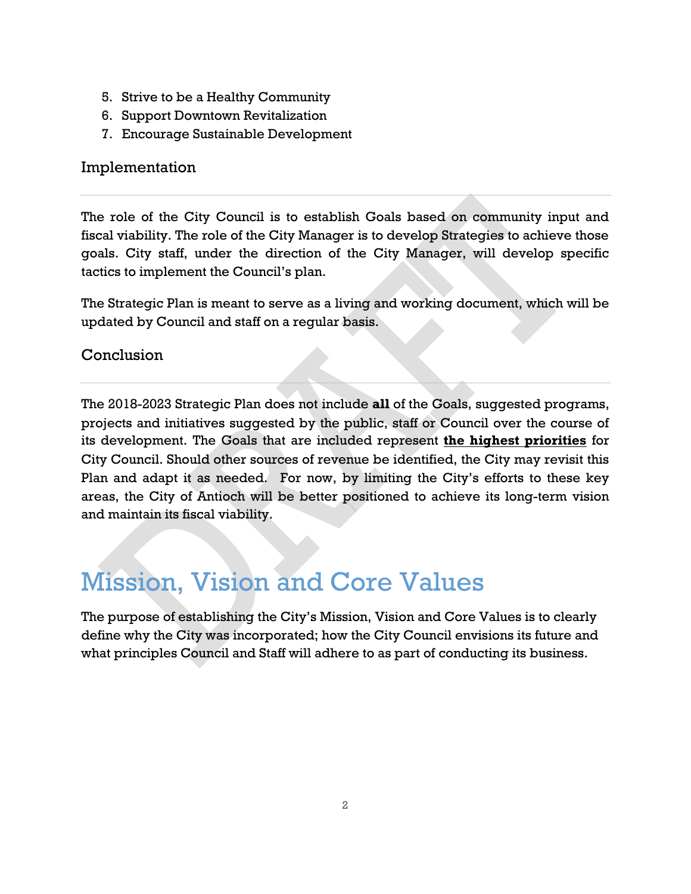- 5. Strive to be a Healthy Community
- 6. Support Downtown Revitalization
- 7. Encourage Sustainable Development

#### Implementation

The role of the City Council is to establish Goals based on community input and fiscal viability. The role of the City Manager is to develop Strategies to achieve those goals. City staff, under the direction of the City Manager, will develop specific tactics to implement the Council's plan.

The Strategic Plan is meant to serve as a living and working document, which will be updated by Council and staff on a regular basis.

#### Conclusion

The 2018-2023 Strategic Plan does not include **all** of the Goals, suggested programs, projects and initiatives suggested by the public, staff or Council over the course of its development. The Goals that are included represent **the highest priorities** for City Council. Should other sources of revenue be identified, the City may revisit this Plan and adapt it as needed. For now, by limiting the City's efforts to these key areas, the City of Antioch will be better positioned to achieve its long-term vision and maintain its fiscal viability.

### Mission, Vision and Core Values

The purpose of establishing the City's Mission, Vision and Core Values is to clearly define why the City was incorporated; how the City Council envisions its future and what principles Council and Staff will adhere to as part of conducting its business.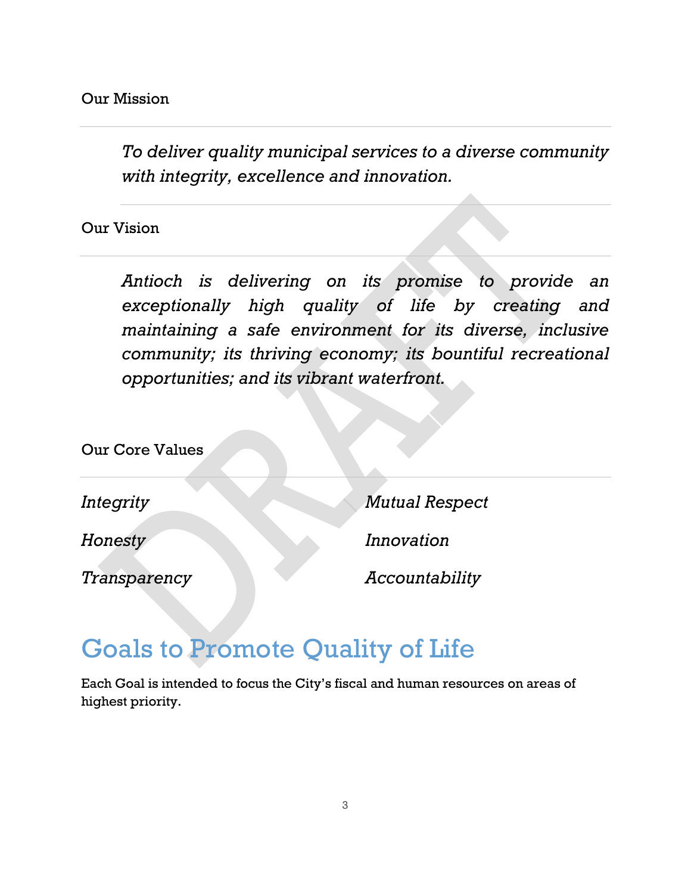*To deliver quality municipal services to a diverse community with integrity, excellence and innovation.*

Our Vision

*Antioch is delivering on its promise to provide an exceptionally high quality of life by creating and maintaining a safe environment for its diverse, inclusive community; its thriving economy; its bountiful recreational opportunities; and its vibrant waterfront.*

Our Core Values

*Integrity*

*Mutual Respect*

*Honesty*

*Transparency*

*Innovation*

*Accountability*

### Goals to Promote Quality of Life

Each Goal is intended to focus the City's fiscal and human resources on areas of highest priority.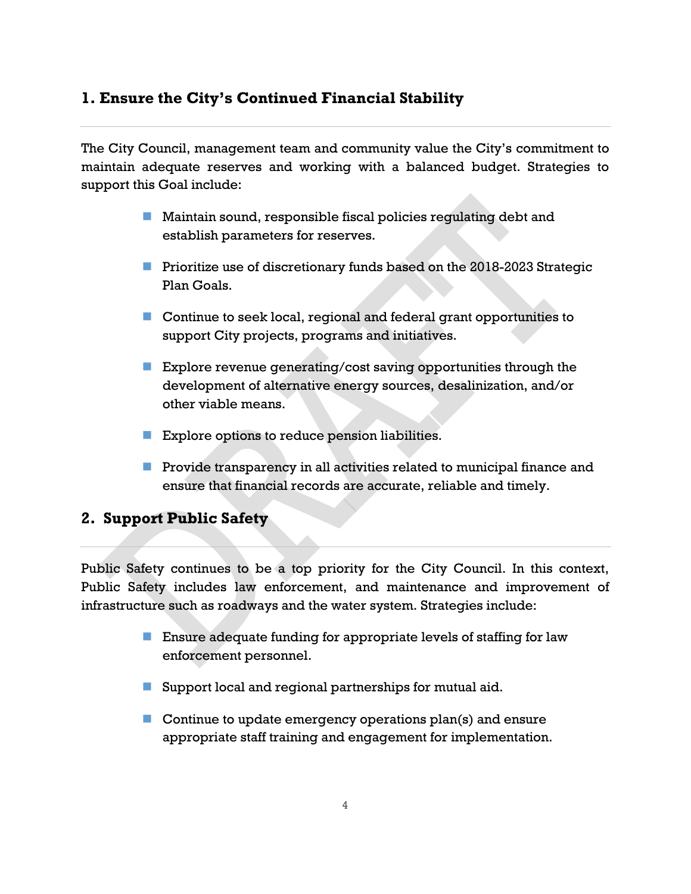#### **1. Ensure the City's Continued Financial Stability**

The City Council, management team and community value the City's commitment to maintain adequate reserves and working with a balanced budget. Strategies to support this Goal include:

- **Maintain sound, responsible fiscal policies regulating debt and** establish parameters for reserves.
- **Prioritize use of discretionary funds based on the 2018-2023 Strategic** Plan Goals.
- Continue to seek local, regional and federal grant opportunities to support City projects, programs and initiatives.
- **Explore revenue generating/cost saving opportunities through the** development of alternative energy sources, desalinization, and/or other viable means.
- **Explore options to reduce pension liabilities.**
- $\blacksquare$  Provide transparency in all activities related to municipal finance and ensure that financial records are accurate, reliable and timely.

#### **2. Support Public Safety**

Public Safety continues to be a top priority for the City Council. In this context, Public Safety includes law enforcement, and maintenance and improvement of infrastructure such as roadways and the water system. Strategies include:

- **Ensure adequate funding for appropriate levels of staffing for law** enforcement personnel.
- Support local and regional partnerships for mutual aid.
- Continue to update emergency operations plan(s) and ensure appropriate staff training and engagement for implementation.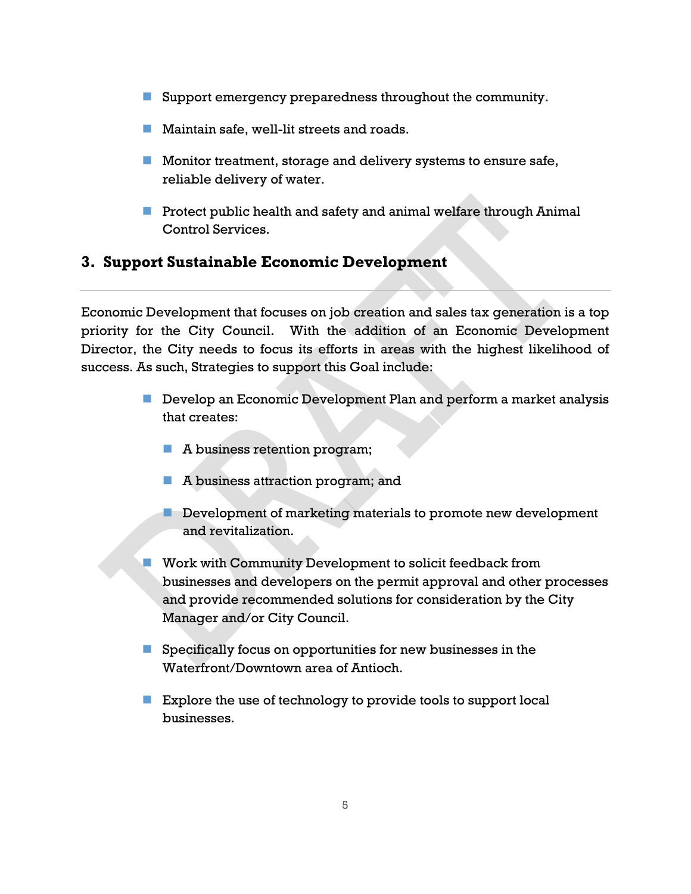- Support emergency preparedness throughout the community.
- **Maintain safe, well-lit streets and roads.**
- **Monitor treatment, storage and delivery systems to ensure safe,** reliable delivery of water.
- **Protect public health and safety and animal welfare through Animal** Control Services.

#### **3. Support Sustainable Economic Development**

Economic Development that focuses on job creation and sales tax generation is a top priority for the City Council. With the addition of an Economic Development Director, the City needs to focus its efforts in areas with the highest likelihood of success. As such, Strategies to support this Goal include:

- **Develop an Economic Development Plan and perform a market analysis** that creates:
	- A business retention program;
	- **A business attraction program; and**
	- **Development of marketing materials to promote new development** and revitalization.
- **Work with Community Development to solicit feedback from** businesses and developers on the permit approval and other processes and provide recommended solutions for consideration by the City Manager and/or City Council.
- $\blacksquare$  Specifically focus on opportunities for new businesses in the Waterfront/Downtown area of Antioch.
- **Explore the use of technology to provide tools to support local** businesses.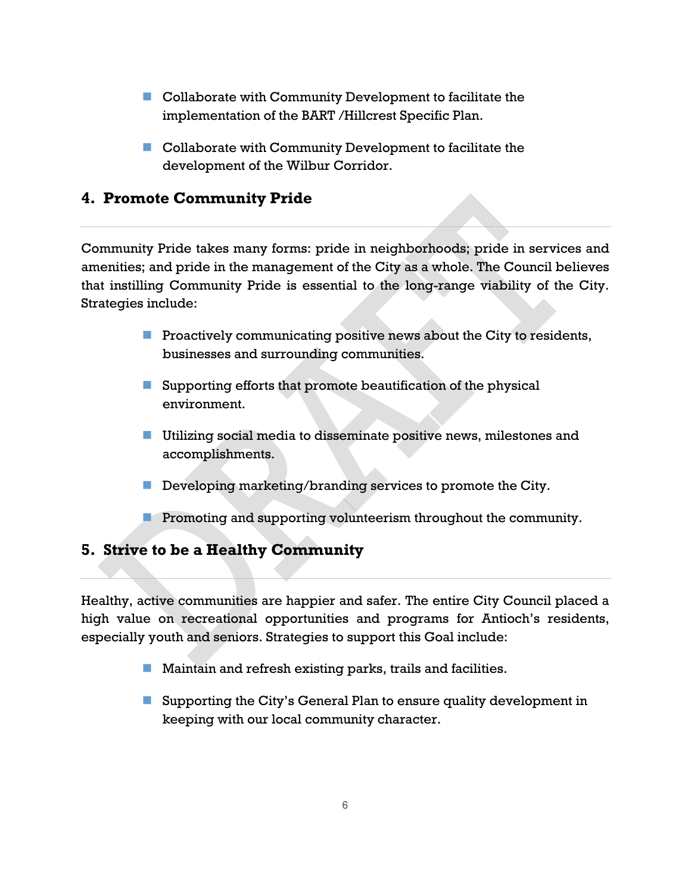- Collaborate with Community Development to facilitate the implementation of the BART /Hillcrest Specific Plan.
- Collaborate with Community Development to facilitate the development of the Wilbur Corridor.

#### **4. Promote Community Pride**

Community Pride takes many forms: pride in neighborhoods; pride in services and amenities; and pride in the management of the City as a whole. The Council believes that instilling Community Pride is essential to the long-range viability of the City. Strategies include:

- **Proactively communicating positive news about the City to residents,** businesses and surrounding communities.
- Supporting efforts that promote beautification of the physical environment.
- **Utilizing social media to disseminate positive news, milestones and** accomplishments.
- Developing marketing/branding services to promote the City.
- **Promoting and supporting volunteerism throughout the community.**

#### **5. Strive to be a Healthy Community**

Healthy, active communities are happier and safer. The entire City Council placed a high value on recreational opportunities and programs for Antioch's residents, especially youth and seniors. Strategies to support this Goal include:

- **Maintain and refresh existing parks, trails and facilities.**
- Supporting the City's General Plan to ensure quality development in keeping with our local community character.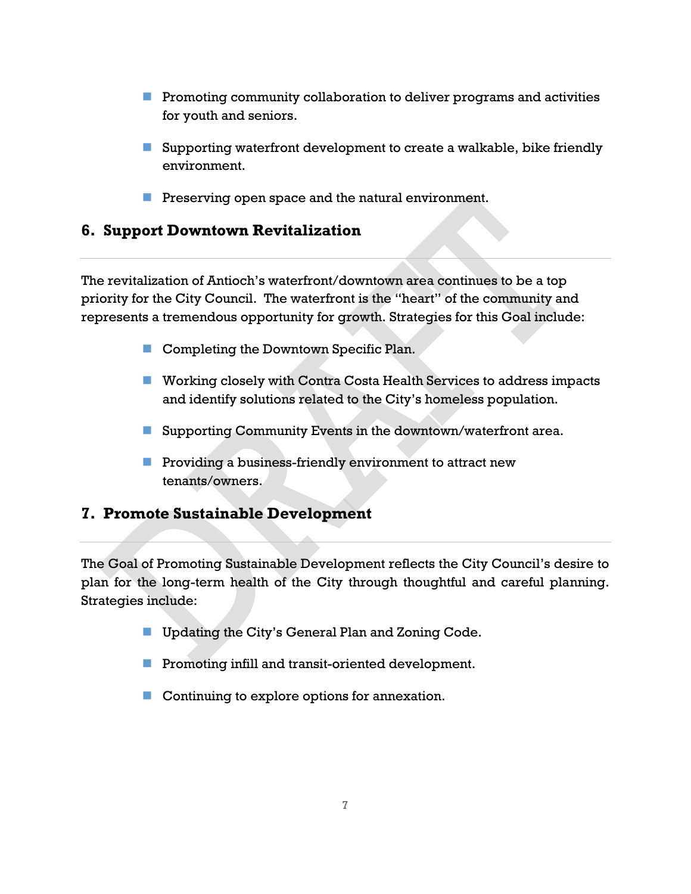- $\blacksquare$  Promoting community collaboration to deliver programs and activities for youth and seniors.
- Supporting waterfront development to create a walkable, bike friendly environment.
- $\blacksquare$  Preserving open space and the natural environment.

#### **6. Support Downtown Revitalization**

The revitalization of Antioch's waterfront/downtown area continues to be a top priority for the City Council. The waterfront is the "heart" of the community and represents a tremendous opportunity for growth. Strategies for this Goal include:

- Completing the Downtown Specific Plan.
- Working closely with Contra Costa Health Services to address impacts and identify solutions related to the City's homeless population.
- Supporting Community Events in the downtown/waterfront area.
- **Providing a business-friendly environment to attract new** tenants/owners.

#### **7. Promote Sustainable Development**

The Goal of Promoting Sustainable Development reflects the City Council's desire to plan for the long-term health of the City through thoughtful and careful planning. Strategies include:

- **Updating the City's General Plan and Zoning Code.**
- **Promoting infill and transit-oriented development.**
- Continuing to explore options for annexation.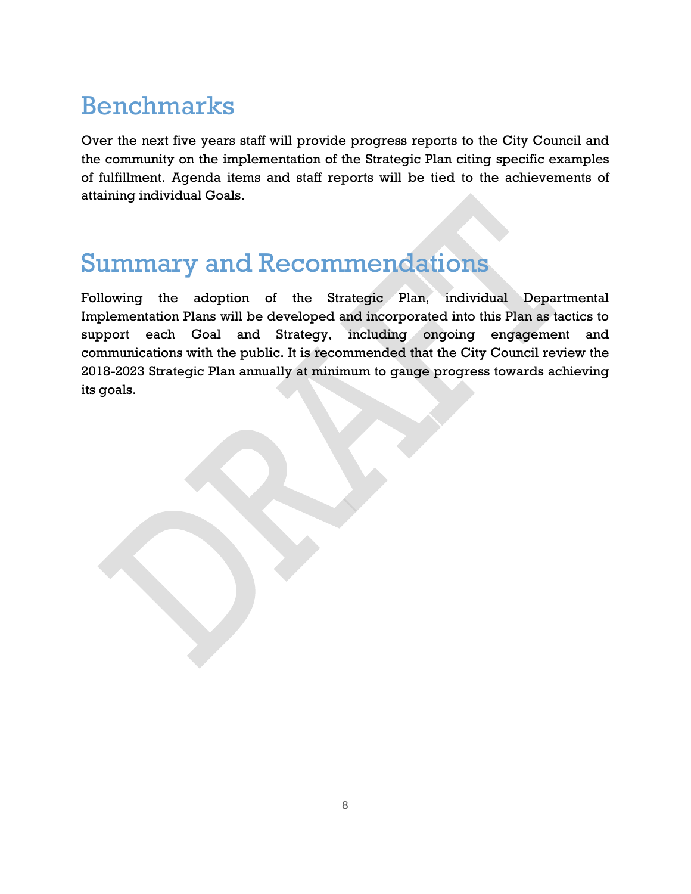## Benchmarks

Over the next five years staff will provide progress reports to the City Council and the community on the implementation of the Strategic Plan citing specific examples of fulfillment. Agenda items and staff reports will be tied to the achievements of attaining individual Goals.

### Summary and Recommendations

Following the adoption of the Strategic Plan, individual Departmental Implementation Plans will be developed and incorporated into this Plan as tactics to support each Goal and Strategy, including ongoing engagement and communications with the public. It is recommended that the City Council review the 2018-2023 Strategic Plan annually at minimum to gauge progress towards achieving its goals.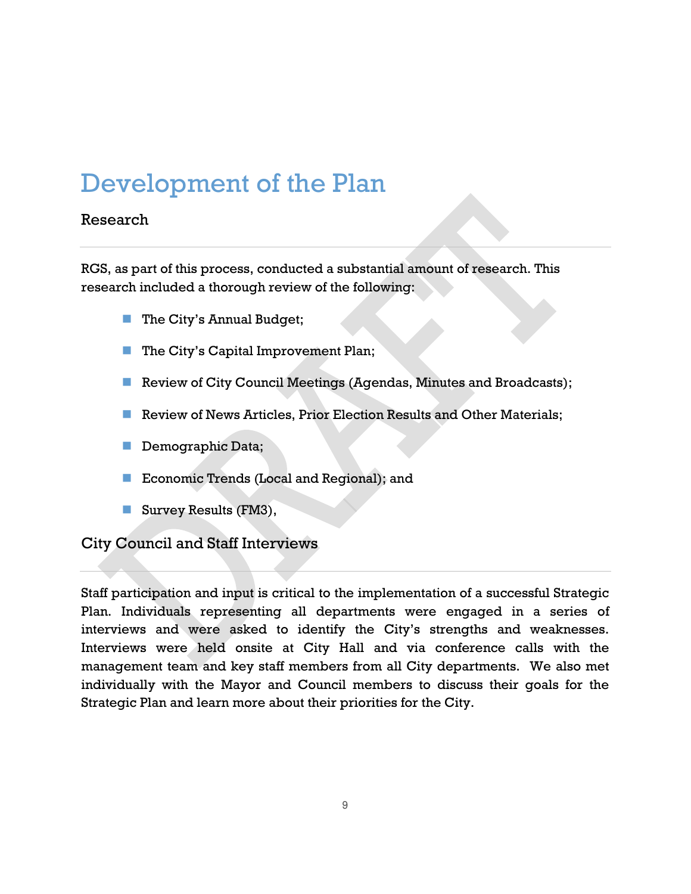# Development of the Plan

#### Research

RGS, as part of this process, conducted a substantial amount of research. This research included a thorough review of the following:

- The City's Annual Budget;
- The City's Capital Improvement Plan;
- Review of City Council Meetings (Agendas, Minutes and Broadcasts);
- **Review of News Articles, Prior Election Results and Other Materials;**
- Demographic Data;
- Economic Trends (Local and Regional); and
- Survey Results (FM3),

City Council and Staff Interviews

Staff participation and input is critical to the implementation of a successful Strategic Plan. Individuals representing all departments were engaged in a series of interviews and were asked to identify the City's strengths and weaknesses. Interviews were held onsite at City Hall and via conference calls with the management team and key staff members from all City departments. We also met individually with the Mayor and Council members to discuss their goals for the Strategic Plan and learn more about their priorities for the City.